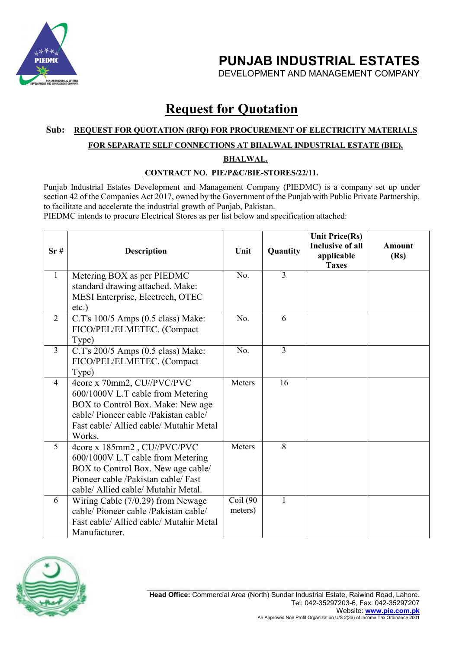

**PUNJAB INDUSTRIAL ESTATES** 

DEVELOPMENT AND MANAGEMENT COMPANY

## **Request for Quotation**

#### **Sub: REQUEST FOR QUOTATION (RFQ) FOR PROCUREMENT OF ELECTRICITY MATERIALS**

#### **FOR SEPARATE SELF CONNECTIONS AT BHALWAL INDUSTRIAL ESTATE (BIE),**

**BHALWAL.**

#### **CONTRACT NO. PIE/P&C/BIE-STORES/22/11.**

Punjab Industrial Estates Development and Management Company (PIEDMC) is a company set up under section 42 of the Companies Act 2017, owned by the Government of the Punjab with Public Private Partnership, to facilitate and accelerate the industrial growth of Punjab, Pakistan.

PIEDMC intends to procure Electrical Stores as per list below and specification attached:

| Sr#            | <b>Description</b>                                                               | Unit                | Quantity       | <b>Unit Price(Rs)</b><br><b>Inclusive of all</b><br>applicable<br><b>Taxes</b> | Amount<br>(Rs) |
|----------------|----------------------------------------------------------------------------------|---------------------|----------------|--------------------------------------------------------------------------------|----------------|
| 1              | Metering BOX as per PIEDMC<br>standard drawing attached. Make:                   | No.                 | $\overline{3}$ |                                                                                |                |
|                | MESI Enterprise, Electrech, OTEC<br>$etc.$ )                                     |                     |                |                                                                                |                |
| 2              | C.T's 100/5 Amps (0.5 class) Make:                                               | No.                 | 6              |                                                                                |                |
|                | FICO/PEL/ELMETEC. (Compact<br>Type)                                              |                     |                |                                                                                |                |
| $\overline{3}$ | C.T's 200/5 Amps (0.5 class) Make:                                               | No.                 | $\overline{3}$ |                                                                                |                |
|                | FICO/PEL/ELMETEC. (Compact<br>Type)                                              |                     |                |                                                                                |                |
| $\overline{4}$ | 4core x 70mm2, CU//PVC/PVC<br>600/1000V L.T cable from Metering                  | Meters              | 16             |                                                                                |                |
|                | BOX to Control Box. Make: New age                                                |                     |                |                                                                                |                |
|                | cable/ Pioneer cable /Pakistan cable/<br>Fast cable/ Allied cable/ Mutahir Metal |                     |                |                                                                                |                |
|                | Works.                                                                           |                     |                |                                                                                |                |
| 5              | 4core x 185mm2, CU//PVC/PVC<br>600/1000V L.T cable from Metering                 | Meters              | 8              |                                                                                |                |
|                | BOX to Control Box. New age cable/                                               |                     |                |                                                                                |                |
|                | Pioneer cable /Pakistan cable/ Fast                                              |                     |                |                                                                                |                |
|                | cable/ Allied cable/ Mutahir Metal.                                              |                     |                |                                                                                |                |
| 6              | Wiring Cable (7/0.29) from Newage<br>cable/ Pioneer cable /Pakistan cable/       | Coil (90<br>meters) | 1              |                                                                                |                |
|                | Fast cable/ Allied cable/ Mutahir Metal                                          |                     |                |                                                                                |                |
|                | Manufacturer.                                                                    |                     |                |                                                                                |                |

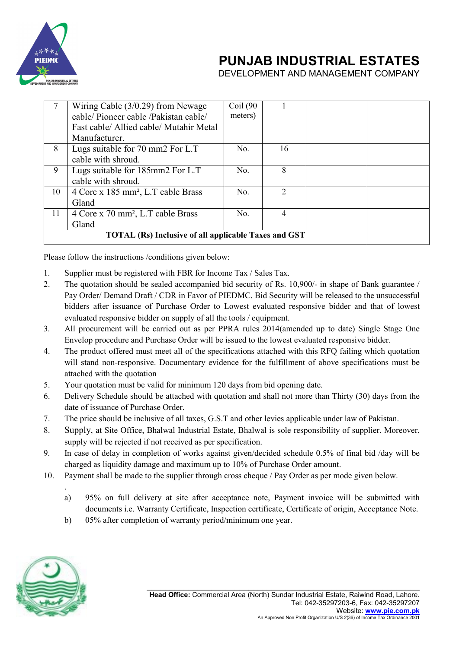

### **PUNJAB INDUSTRIAL ESTATES**

DEVELOPMENT AND MANAGEMENT COMPANY

|    | Wiring Cable $(3/0.29)$ from Newage            | Coil(90) |                |  |  |
|----|------------------------------------------------|----------|----------------|--|--|
|    | cable/Pioneer cable/Pakistan cable/            | meters)  |                |  |  |
|    | Fast cable/ Allied cable/ Mutahir Metal        |          |                |  |  |
|    | Manufacturer.                                  |          |                |  |  |
| 8  | Lugs suitable for 70 mm2 For L.T               | No.      | 16             |  |  |
|    | cable with shroud.                             |          |                |  |  |
| 9  | Lugs suitable for 185mm2 For L.T               | No.      | 8              |  |  |
|    | cable with shroud.                             |          |                |  |  |
| 10 | 4 Core x 185 mm <sup>2</sup> , L.T cable Brass | No.      | $\mathfrak{D}$ |  |  |
|    | Gland                                          |          |                |  |  |
| 11 | 4 Core x 70 mm <sup>2</sup> , L.T cable Brass  | No.      | 4              |  |  |
|    | Gland                                          |          |                |  |  |
|    |                                                |          |                |  |  |

Please follow the instructions /conditions given below:

- 1. Supplier must be registered with FBR for Income Tax / Sales Tax.
- 2. The quotation should be sealed accompanied bid security of Rs. 10,900/- in shape of Bank guarantee / Pay Order/ Demand Draft / CDR in Favor of PIEDMC. Bid Security will be released to the unsuccessful bidders after issuance of Purchase Order to Lowest evaluated responsive bidder and that of lowest evaluated responsive bidder on supply of all the tools / equipment.
- 3. All procurement will be carried out as per PPRA rules 2014(amended up to date) Single Stage One Envelop procedure and Purchase Order will be issued to the lowest evaluated responsive bidder.
- 4. The product offered must meet all of the specifications attached with this RFQ failing which quotation will stand non-responsive. Documentary evidence for the fulfillment of above specifications must be attached with the quotation
- 5. Your quotation must be valid for minimum 120 days from bid opening date.
- 6. Delivery Schedule should be attached with quotation and shall not more than Thirty (30) days from the date of issuance of Purchase Order.
- 7. The price should be inclusive of all taxes, G.S.T and other levies applicable under law of Pakistan.
- 8. Supply, at Site Office, Bhalwal Industrial Estate, Bhalwal is sole responsibility of supplier. Moreover, supply will be rejected if not received as per specification.
- 9. In case of delay in completion of works against given/decided schedule 0.5% of final bid /day will be charged as liquidity damage and maximum up to 10% of Purchase Order amount.
- 10. Payment shall be made to the supplier through cross cheque / Pay Order as per mode given below.
	- a) 95% on full delivery at site after acceptance note, Payment invoice will be submitted with documents i.e. Warranty Certificate, Inspection certificate, Certificate of origin, Acceptance Note.
	- b) 05% after completion of warranty period/minimum one year.



.